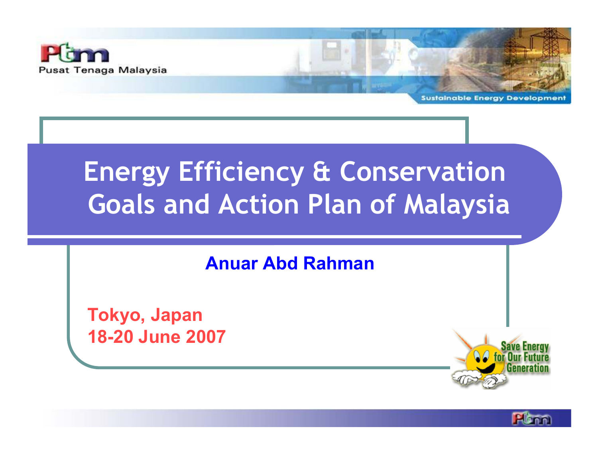

**Sustainable Energy Developme** 

## Energy Efficiency & ConservationGoals and Action Plan of Malaysia

### Anuar Abd Rahman

Tokyo, Japan18-20 June 2007

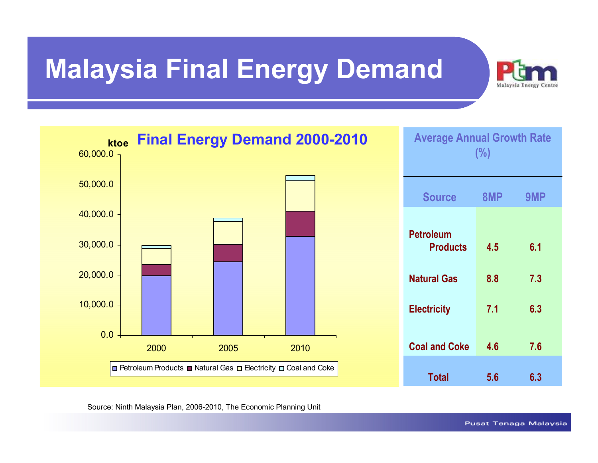### Malaysia Final Energy Demand





Source: Ninth Malaysia Plan, 2006-2010, The Economic Planning Unit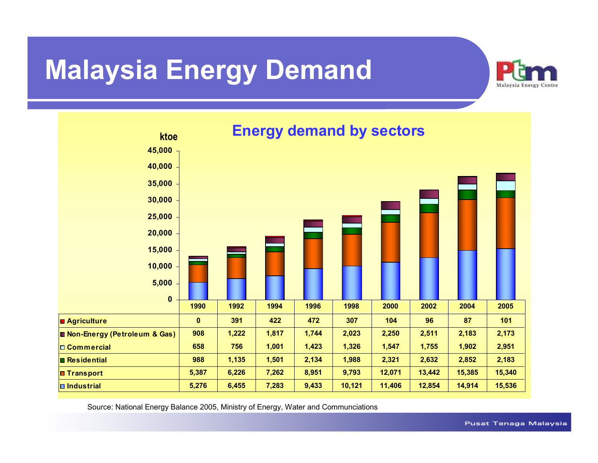### Malaysia Energy Demand





Source: National Energy Balance 2005, Ministry of Energy, Water and Communciations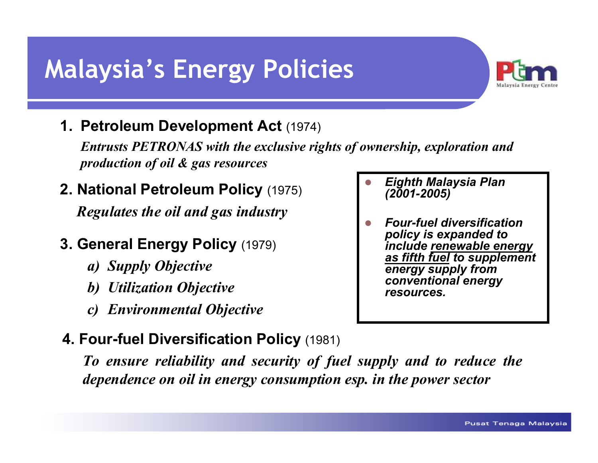### Malaysia's Energy Policies



#### 1. Petroleum Development Act (1974)

Entrusts PETRONAS with the exclusive rights of ownership, exploration and production of oil & gas resources

#### 2. National Petroleum Policy (1975)

Regulates the oil and gas industry

#### 3. General Energy Policy (1979)

- a) Supply Objective
- b) Utilization Objective
- c) Environmental Objective

### 4. Four-fuel Diversification Policy (1981)

To ensure reliability and security of fuel supply and to reduce the dependence on oil in energy consumption esp. in the power sector

- $\Box$  Eighth Malaysia Plan (2001-2005)
- $\Box$  Four-fuel diversification policy is expanded toinclude <u>renewable energy</u><br>as fifth fuel to supplement as fifth fuel to supplement<br>energy supply from energy supply from conventional energy resources.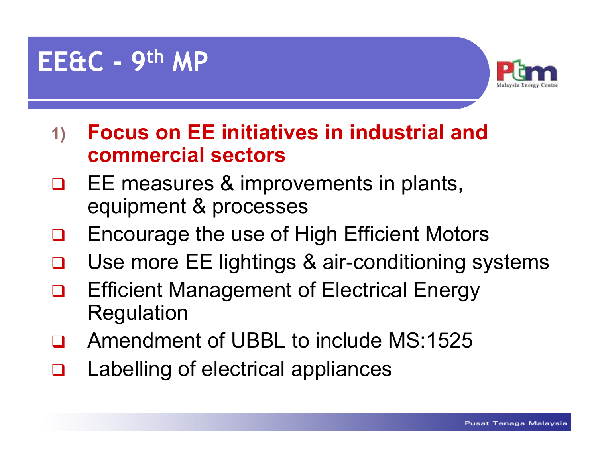### EE&C - <sup>9</sup>th MP



- 1) Focus on EE initiatives in industrial and commercial sectors
- EE measures & improvements in plants,  $\Box$ equipment & processes
- $\Box$ Encourage the use of High Efficient Motors
- $\Box$ Use more EE lightings & air-conditioning systems
- $\Box$  Efficient Management of Electrical Energy Regulation
- $\Box$ Amendment of UBBL to include MS:1525
- $\Box$ Labelling of electrical appliances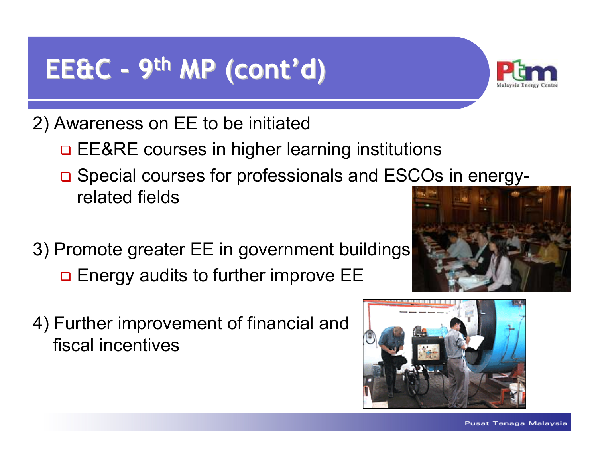## EE&C - <sup>9</sup>th MP (cont'd)



- 2) Awareness on EE to be initiated
	- <mark>□ EE&RE courses in higher learning institutions</mark>
	- □ Special courses for professionals and ESCOs in energyrelated fields
- 3) Promote greater EE in government buildings $\textcolor{red}{\blacksquare}$  Energy audits to further improve EE
- 4) Further improvement of financial and fiscal incentives



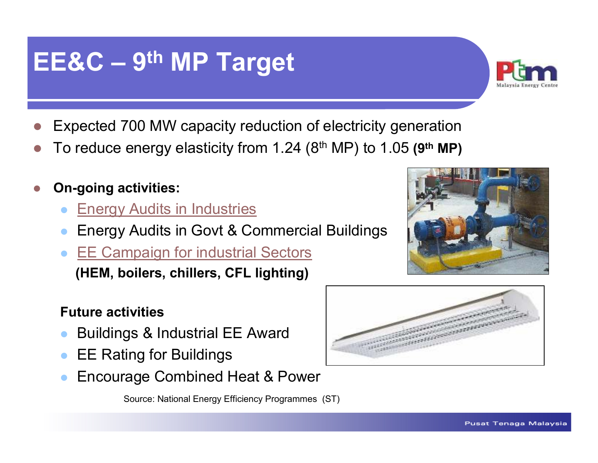#### Pusat Tenaga Malaysia

### EE&C – <sup>9</sup>th MP Target

- $\blacksquare$ Expected 700 MW capacity reduction of electricity generation
- $\bigcirc$ To reduce energy elasticity from 1.24  $(8<sup>th</sup> MP)$  to 1.05  $(9<sup>th</sup> MP)$
- On-going activities:
	- $\bullet$ Energy Audits in Industries
	- $\bullet$ Energy Audits in Govt & Commercial Buildings
	- $\bullet$  EE Campaign for industrial Sectors (HEM, boilers, chillers, CFL lighting)

#### Future activities

- $\bullet$ Buildings & Industrial EE Award
- $\bullet$ EE Rating for Buildings
- $\bullet$ Encourage Combined Heat & Power

Source: National Energy Efficiency Programmes (ST)





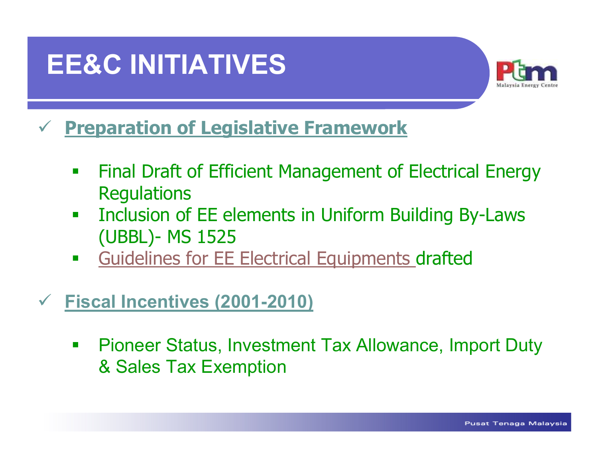### EE&C INITIATIVES



#### $\checkmark$ Preparation of Legislative Framework

- Final Draft of Efficient Management of Electrical Energy **Regulations**
- **Inclusion of EE elements in Uniform Building By-Laws The Co** (UBBL)- MS 1525
- $\overline{\phantom{a}}$ Guidelines for EE Electrical Equipments drafted

#### $\checkmark$ Fiscal Incentives (2001-2010)

 $\mathcal{L}_{\mathcal{A}}$  Pioneer Status, Investment Tax Allowance, Import Duty & Sales Tax Exemption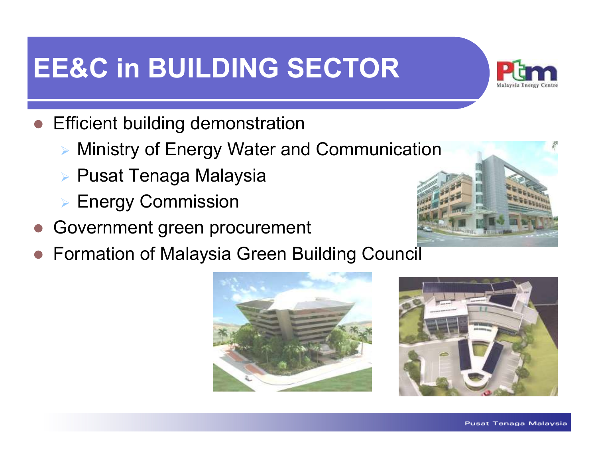## EE&C in BUILDING SECTOR



- $\bullet$  Efficient building demonstration
	- Ministry of Energy Water and Communication
	- Pusat Tenaga Malaysia
	- Energy Commission
- Government green procurement
- $\bullet$ Formation of Malaysia Green Building Council





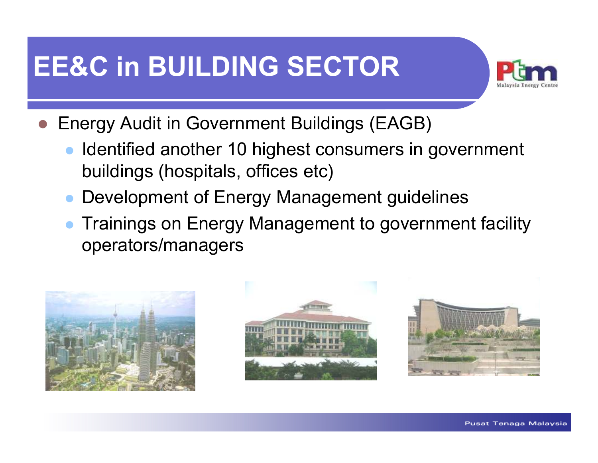## EE&C in BUILDING SECTOR



- $\bullet$  Energy Audit in Government Buildings (EAGB)
	- $\bullet$  Identified another 10 highest consumers in government buildings (hospitals, offices etc)
	- $\bullet$ Development of Energy Management guidelines
	- **Trainings on Energy Management to government facility** operators/managers

![](_page_9_Picture_6.jpeg)

![](_page_9_Picture_7.jpeg)

![](_page_9_Picture_8.jpeg)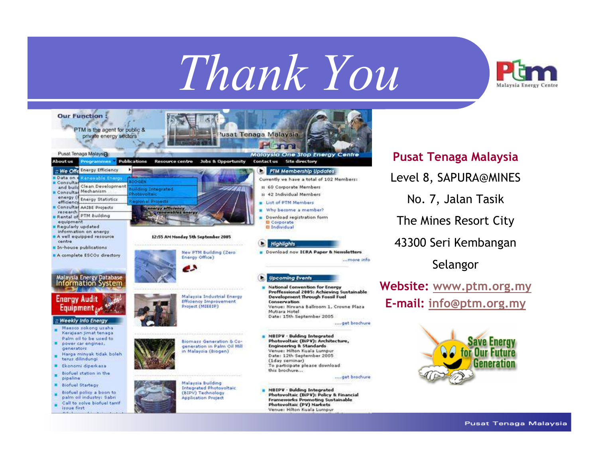# Thank You

![](_page_10_Picture_1.jpeg)

![](_page_10_Picture_2.jpeg)

Pusat Tenaga MalaysiaLevel 8, SAPURA@MINESNo. 7, Jalan TasikThe Mines Resort City43300 Seri KembanganSelangorWebsite: www.ptm.org.my

E-mail: info@ptm.org.my

![](_page_10_Picture_5.jpeg)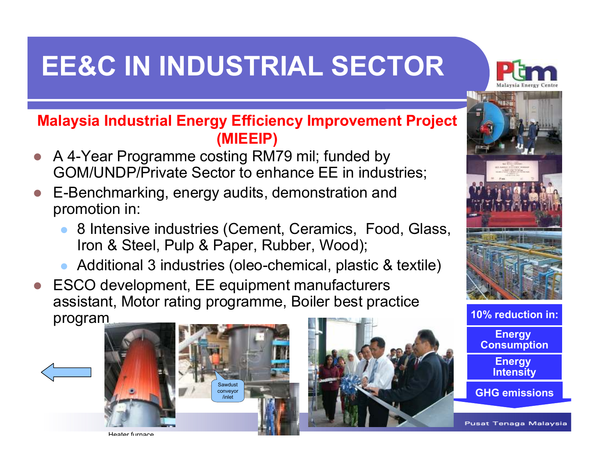## EE&C IN INDUSTRIAL SECTOR

![](_page_11_Picture_1.jpeg)

#### Malaysia Industrial Energy Efficiency Improvement Project (MIEEIP)

- A 4-Year Programme costing RM79 mil; funded by GOM/UNDP/Private Sector to enhance EE in industries;
- $\bigcirc$  E-Benchmarking, energy audits, demonstration and promotion in:
	- $\bullet$  8 Intensive industries (Cement, Ceramics, Food, Glass, Iron & Steel, Pulp & Paper, Rubber, Wood);
	- $\bullet$ Additional 3 industries (oleo-chemical, plastic & textile)
- $\blacksquare$  ESCO development, EE equipment manufacturers assistant, Motor rating programme, Boiler best practice program

![](_page_11_Picture_8.jpeg)

![](_page_11_Picture_9.jpeg)

![](_page_11_Picture_10.jpeg)

![](_page_11_Picture_11.jpeg)

![](_page_11_Picture_12.jpeg)

Heater furnace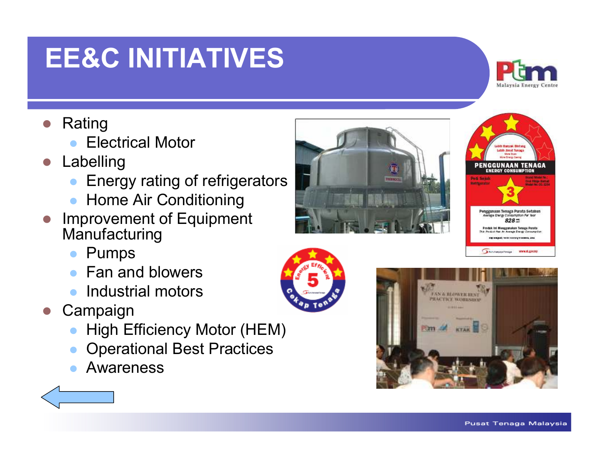### EE&C INITIATIVES

- Rating
	- $\bullet$ Electrical Motor
- $\begin{array}{c} \bullet \\ \bullet \end{array}$  Labelling
	- $\bullet$ Energy rating of refrigerators
	- Home Air Conditioning
- $\blacksquare$  Improvement of Equipment **Manufacturing** 
	- $\bullet$ Pumps
	- Fan and blowers
	- **Industrial motors**
- **Campaign** 
	- $\bullet$ High Efficiency Motor (HEM)
	- $\bullet$ Operational Best Practices
	- $\bullet$ Awareness

![](_page_12_Picture_14.jpeg)

![](_page_12_Picture_15.jpeg)

![](_page_12_Picture_16.jpeg)

**FAN & BLOWER IDAG PRACTICE WORKSHOP** 

![](_page_12_Picture_17.jpeg)

![](_page_12_Picture_18.jpeg)

Malaysia Energy